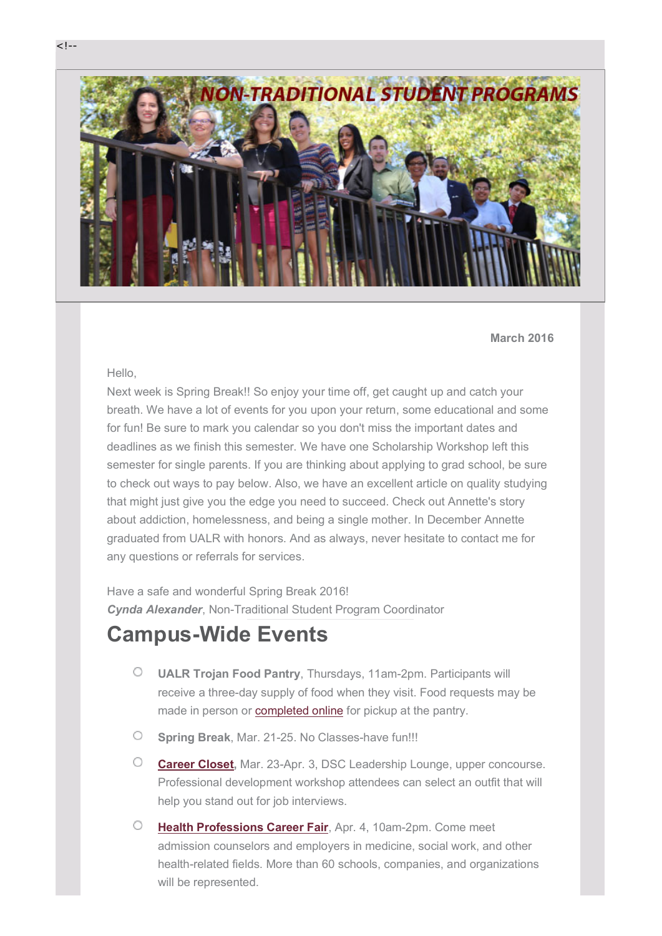

**March 2016**

#### Hello,

Next week is Spring Break!! So enjoy your time off, get caught up and catch your breath. We have a lot of events for you upon your return, some educational and some for fun! Be sure to mark you calendar so you don't miss the important dates and deadlines as we finish this semester. We have one Scholarship Workshop left this semester for single parents. If you are thinking about applying to grad school, be sure to check out ways to pay below. Also, we have an excellent article on quality studying that might just give you the edge you need to succeed. Check out Annette's story about addiction, homelessness, and being a single mother. In December Annette graduated from UALR with honors. And as always, never hesitate to contact me for any questions or referrals for services.

Have a safe and wonderful Spring Break 2016! *Cynda Alexander*, Non-Traditional Student Program Coordinator

## **Campus-Wide Events**

- $\circ$ **UALR Trojan Food Pantry**, Thursdays, 11am-2pm. Participants will receive a three-day supply of food when they visit. Food requests may be made in person or **completed online** for pickup at the pantry.
- $\circ$ **Spring Break**, Mar. 21-25. No Classes-have fun!!!
- $\circ$ **Career Closet,** Mar. 23-Apr. 3, DSC Leadership Lounge, upper concourse. Professional development workshop attendees can select an outfit that will help you stand out for job interviews.
- $\circ$ **Health Professions Career Fair**, Apr. 4, 10am-2pm. Come meet admission counselors and employers in medicine, social work, and other health-related fields. More than 60 schools, companies, and organizations will be represented.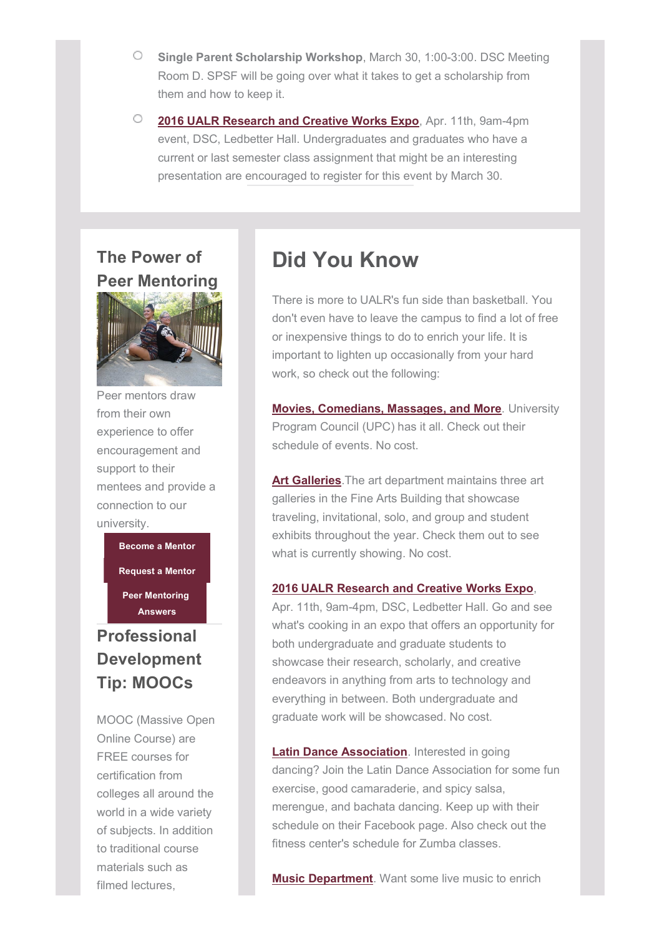- $\circ$ **Single Parent Scholarship Workshop**, March 30, 1:00-3:00. DSC Meeting Room D. SPSF will be going over what it takes to get a scholarship from them and how to keep it.
- $\circ$ **2016 UALR Research and Creative Works Expo**, Apr. 11th, 9am-4pm event, DSC, Ledbetter Hall. Undergraduates and graduates who have a current or last semester class assignment that might be an interesting presentation are encouraged to register for this event by March 30.

#### **The Power of Peer Mentoring**



Peer mentors draw from their own experience to offer encouragement and support to their mentees and provide a connection to our university.

**Become a Mentor**

**Request a Mentor**

**Peer Mentoring Answers**

### **Professional Development Tip: MOOCs**

MOOC (Massive Open Online Course) are FREE courses for certification from colleges all around the world in a wide variety of subjects. In addition to traditional course materials such as filmed lectures,

## **Did You Know**

There is more to UALR's fun side than basketball. You don't even have to leave the campus to find a lot of free or inexpensive things to do to enrich your life. It is important to lighten up occasionally from your hard work, so check out the following:

**Movies, Comedians, Massages, and More**. University Program Council (UPC) has it all. Check out their schedule of events. No cost.

**Art Galleries**.The art department maintains three art galleries in the Fine Arts Building that showcase traveling, invitational, solo, and group and student exhibits throughout the year. Check them out to see what is currently showing. No cost.

#### **2016 UALR Research and Creative Works Expo**,

Apr. 11th, 9am-4pm, DSC, Ledbetter Hall. Go and see what's cooking in an expo that offers an opportunity for both undergraduate and graduate students to showcase their research, scholarly, and creative endeavors in anything from arts to technology and everything in between. Both undergraduate and graduate work will be showcased. No cost.

**Latin Dance Association**. Interested in going dancing? Join the Latin Dance Association for some fun exercise, good camaraderie, and spicy salsa, merengue, and bachata dancing. Keep up with their schedule on their Facebook page. Also check out the fitness center's schedule for Zumba classes.

**Music Department**. Want some live music to enrich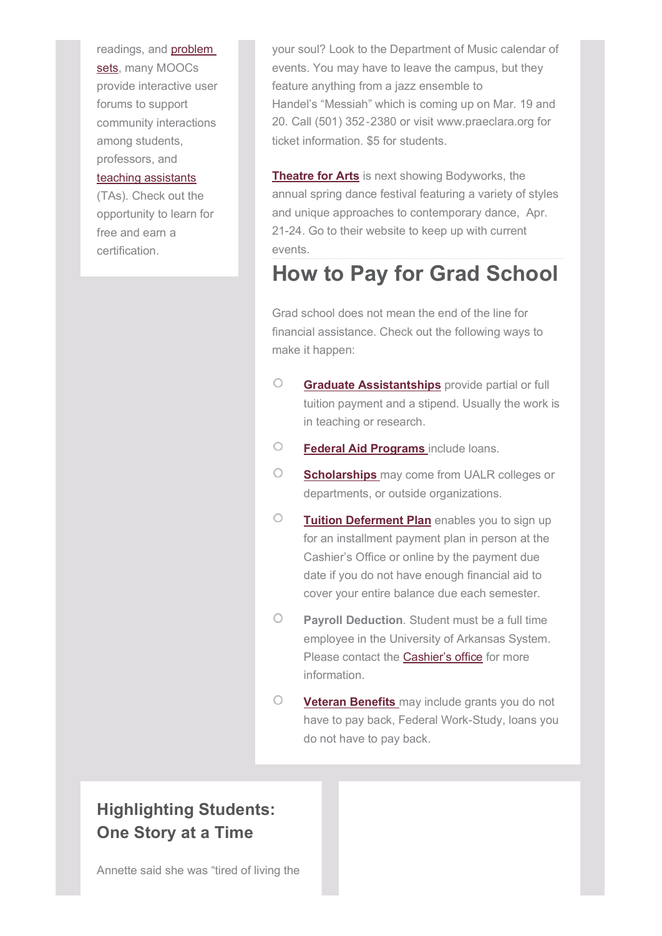readings, and **problem** sets, many MOOCs provide interactive user forums to support community interactions among students, professors, and teaching assistants

(TAs). Check out the opportunity to learn for free and earn a certification.

your soul? Look to the Department of Music calendar of events. You may have to leave the campus, but they feature anything from a jazz ensemble to Handel's "Messiah" which is coming up on Mar. 19 and 20. Call (501) 352‐2380 or visit www.praeclara.org for ticket information. \$5 for students.

**Theatre for Arts** is next showing Bodyworks, the annual spring dance festival featuring a variety of styles and unique approaches to contemporary dance, Apr. 21-24. Go to their website to keep up with current events.

## **How to Pay for Grad School**

Grad school does not mean the end of the line for financial assistance. Check out the following ways to make it happen:

- $\circ$ **Graduate Assistantships** provide partial or full tuition payment and a stipend. Usually the work is in teaching or research.
- O **Federal Aid Programs** include loans.
- O **Scholarships** may come from UALR colleges or departments, or outside organizations.
- 0 **Tuition Deferment Plan** enables you to sign up for an installment payment plan in person at the Cashier's Office or online by the payment due date if you do not have enough financial aid to cover your entire balance due each semester.
- 0 **Payroll Deduction**. Student must be a full time employee in the University of Arkansas System. Please contact the Cashier's office for more information.
- $\bigcirc$ **Veteran Benefits** may include grants you do not have to pay back, Federal Work-Study, loans you do not have to pay back.

#### **Highlighting Students: One Story at a Time**

Annette said she was "tired of living the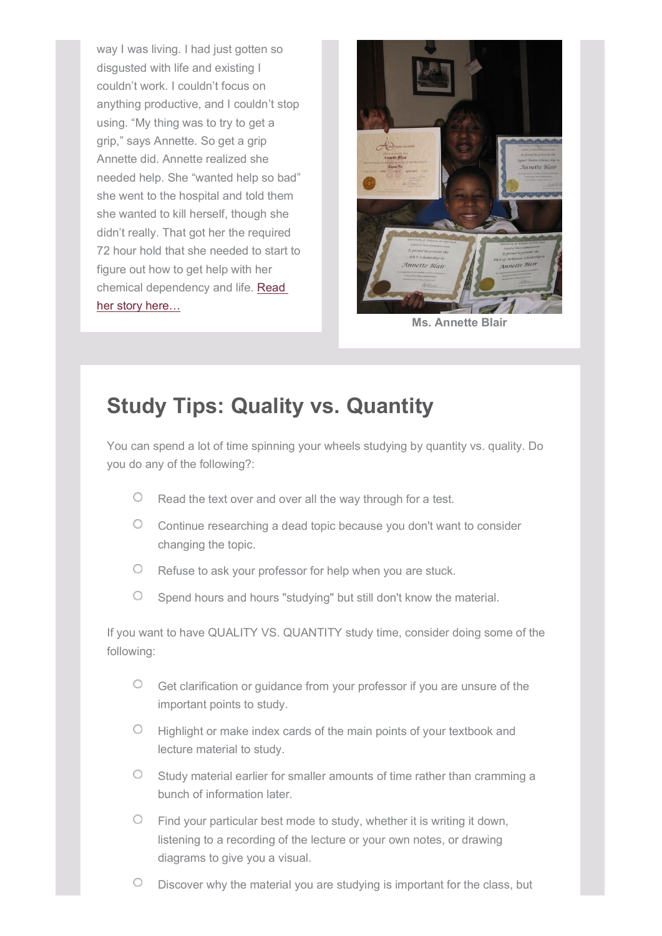way I was living. I had just gotten so disgusted with life and existing I couldn't work. I couldn't focus on anything productive, and I couldn't stop using. "My thing was to try to get a grip," says Annette. So get a grip Annette did. Annette realized she needed help. She "wanted help so bad" she went to the hospital and told them she wanted to kill herself, though she didn't really. That got her the required 72 hour hold that she needed to start to figure out how to get help with her chemical dependency and life. Read her story here…



**Ms. Annette Blair**

# **Study Tips: Quality vs. Quantity**

You can spend a lot of time spinning your wheels studying by quantity vs. quality. Do you do any of the following?:

- $\degree$  Read the text over and over all the way through for a test.
- Continue researching a dead topic because you don't want to consider changing the topic.
- Refuse to ask your professor for help when you are stuck.
- $\circ$ Spend hours and hours "studying" but still don't know the material.

If you want to have QUALITY VS. QUANTITY study time, consider doing some of the following:

- Get clarification or guidance from your professor if you are unsure of the important points to study.
- $\circ$  Highlight or make index cards of the main points of your textbook and lecture material to study.
- Study material earlier for smaller amounts of time rather than cramming a  $\circ$ bunch of information later.
- $\circ$ Find your particular best mode to study, whether it is writing it down, listening to a recording of the lecture or your own notes, or drawing diagrams to give you a visual.
- $\circ$ Discover why the material you are studying is important for the class, but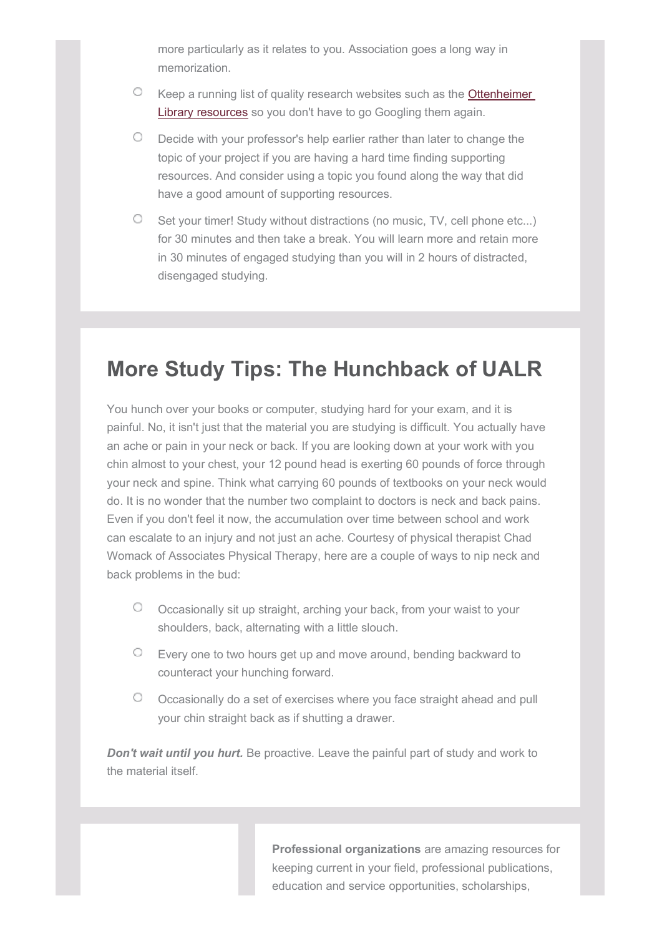more particularly as it relates to you. Association goes a long way in memorization.

- $\circ$  Keep a running list of quality research websites such as the **Ottenheimer** Library resources so you don't have to go Googling them again.
- Decide with your professor's help earlier rather than later to change the topic of your project if you are having a hard time finding supporting resources. And consider using a topic you found along the way that did have a good amount of supporting resources.
- $\circ$  Set your timer! Study without distractions (no music, TV, cell phone etc...) for 30 minutes and then take a break. You will learn more and retain more in 30 minutes of engaged studying than you will in 2 hours of distracted, disengaged studying.

# **More Study Tips: The Hunchback of UALR**

You hunch over your books or computer, studying hard for your exam, and it is painful. No, it isn't just that the material you are studying is difficult. You actually have an ache or pain in your neck or back. If you are looking down at your work with you chin almost to your chest, your 12 pound head is exerting 60 pounds of force through your neck and spine. Think what carrying 60 pounds of textbooks on your neck would do. It is no wonder that the number two complaint to doctors is neck and back pains. Even if you don't feel it now, the accumulation over time between school and work can escalate to an injury and not just an ache. Courtesy of physical therapist Chad Womack of Associates Physical Therapy, here are a couple of ways to nip neck and back problems in the bud:

- $\circ$ Occasionally sit up straight, arching your back, from your waist to your shoulders, back, alternating with a little slouch.
- $\degree$  Every one to two hours get up and move around, bending backward to counteract your hunching forward.
- O Cccasionally do a set of exercises where you face straight ahead and pull your chin straight back as if shutting a drawer.

*Don't wait until you hurt.* Be proactive. Leave the painful part of study and work to the material itself.

> **Professional organizations** are amazing resources for keeping current in your field, professional publications, education and service opportunities, scholarships,